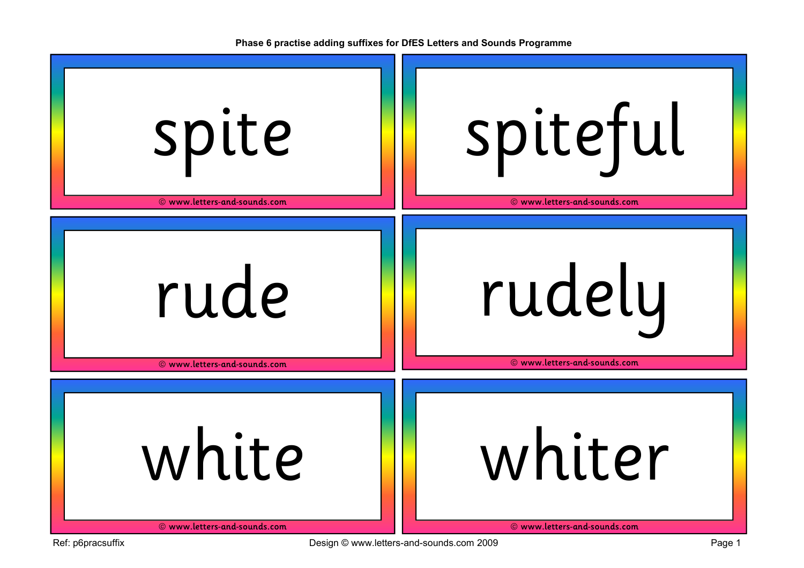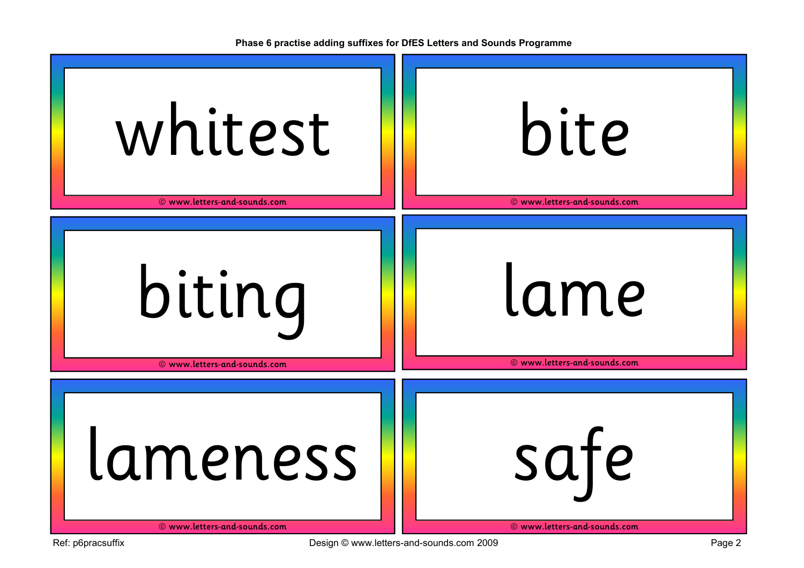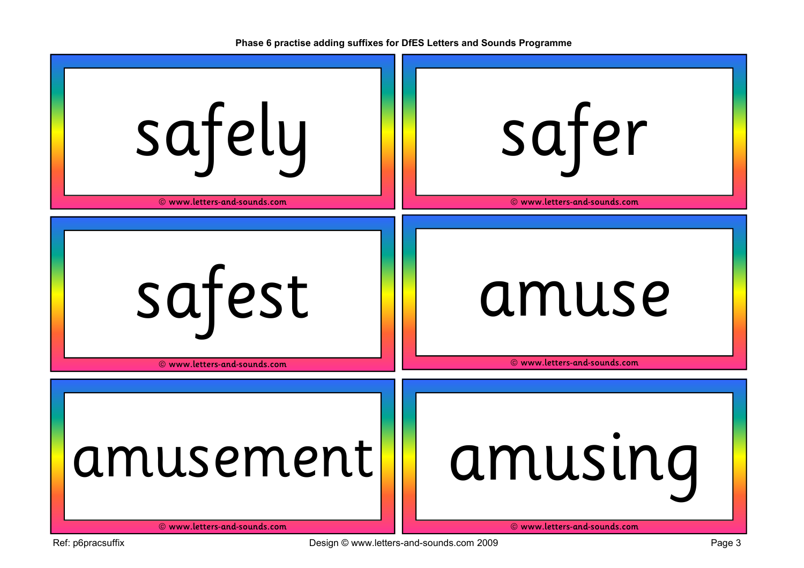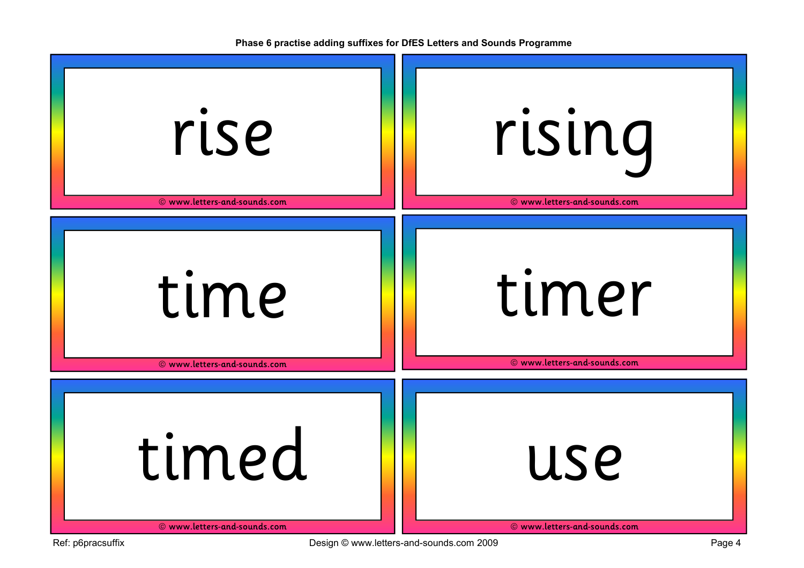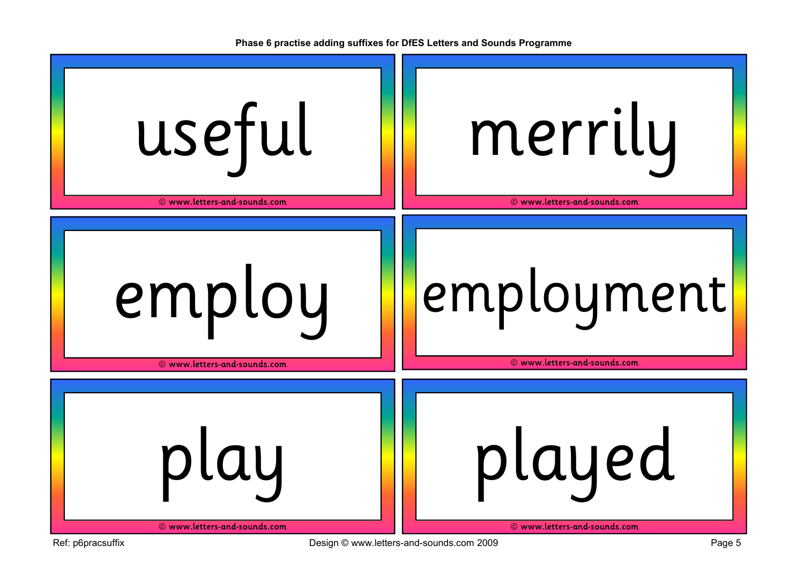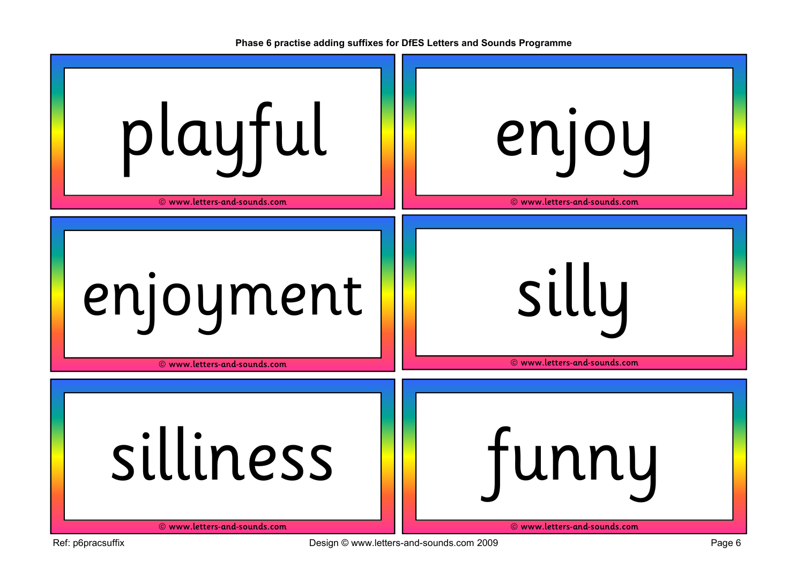| playful                      | enjoy                        |
|------------------------------|------------------------------|
| © www.letters-and-sounds.com | © www.letters-and-sounds.com |
| enjoyment                    | silly                        |
| © www.letters-and-sounds.com | © www.letters-and-sounds.com |
| silliness                    | funny                        |
| © www.letters-and-sounds.com | © www.letters-and-sounds.com |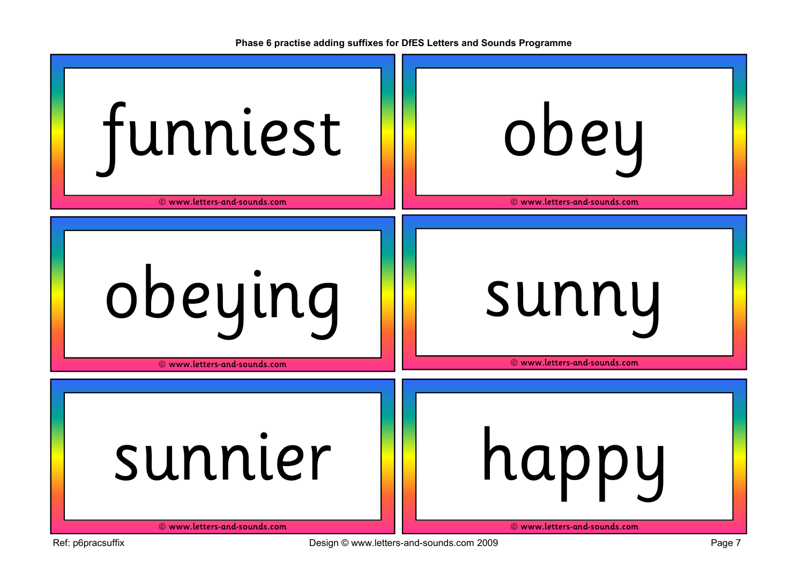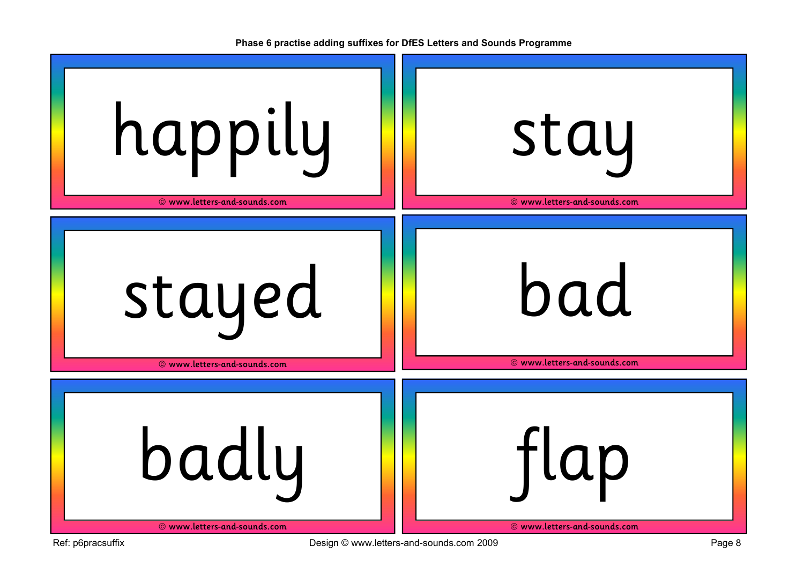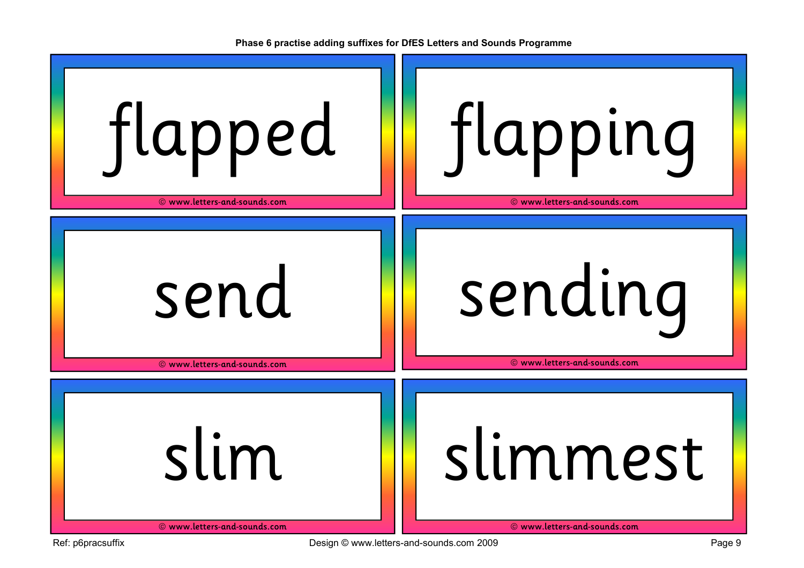flapped © www.letters-and-sounds.com flapping © www.letters-and-sounds.com send © www.letters-and-sounds.com sending © www.letters-and-sounds.com slim © www.letters-and-sounds.com slimmest © www.letters-and-sounds.com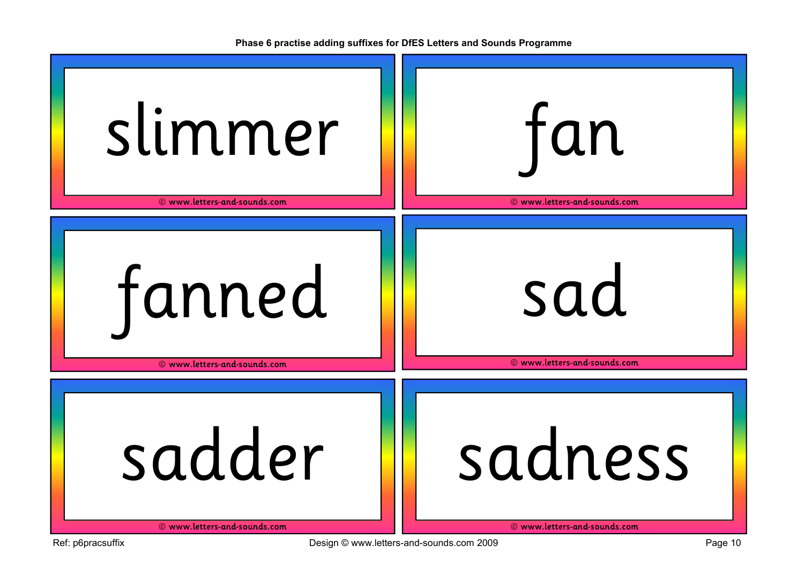| slimmer                      | fan                          |
|------------------------------|------------------------------|
| © www.letters-and-sounds.com | © www.letters-and-sounds.com |
| fanned                       | sad                          |
| © www.letters-and-sounds.com | © www.letters-and-sounds.com |
| sadder                       | sadness                      |
| © www.letters-and-sounds.com | © www.letters-and-sounds.com |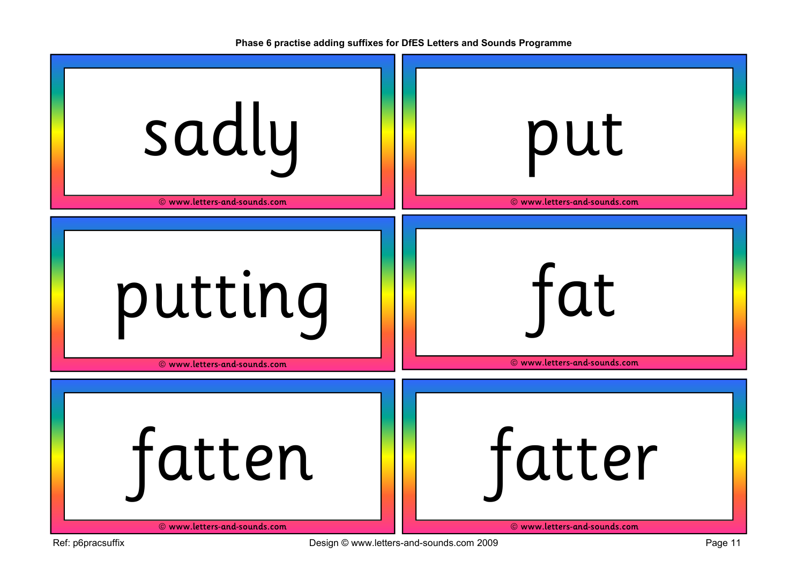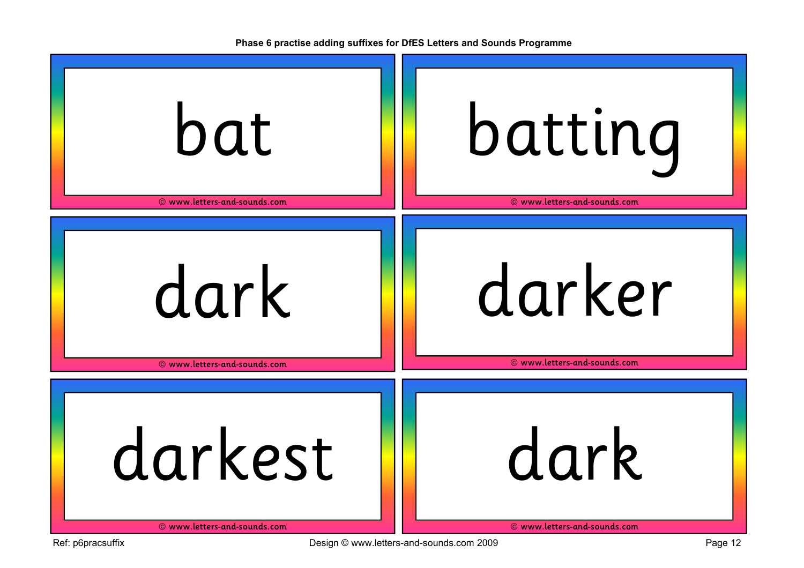